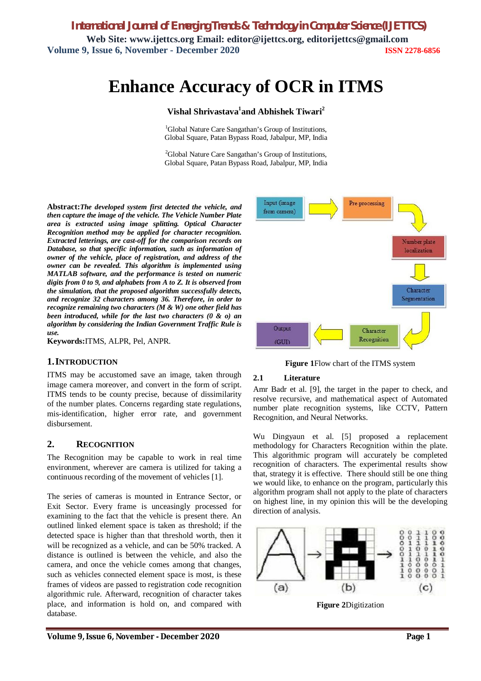*International Journal of Emerging Trends & Technology in Computer Science (IJETTCS)* **Web Site: www.ijettcs.org Email: editor@ijettcs.org, editorijettcs@gmail.com Volume 9, Issue 6, November - December 2020 ISSN 2278-6856**

# **Enhance Accuracy of OCR in ITMS**

## **Vishal Shrivastava<sup>1</sup> and Abhishek Tiwari<sup>2</sup>**

<sup>1</sup>Global Nature Care Sangathan's Group of Institutions, Global Square, Patan Bypass Road, Jabalpur, MP, India

<sup>2</sup>Global Nature Care Sangathan's Group of Institutions, Global Square, Patan Bypass Road, Jabalpur, MP, India

**Abstract:***The developed system first detected the vehicle, and then capture the image of the vehicle. The Vehicle Number Plate area is extracted using image splitting. Optical Character Recognition method may be applied for character recognition. Extracted letterings, are cast-off for the comparison records on Database, so that specific information, such as information of owner of the vehicle, place of registration, and address of the owner can be revealed. This algorithm is implemented using MATLAB software, and the performance is tested on numeric digits from 0 to 9, and alphabets from A to Z. It is observed from the simulation, that the proposed algorithm successfully detects, and recognize 32 characters among 36. Therefore, in order to recognize remaining two characters (M & W) one other field has been introduced, while for the last two characters (0 & o) an algorithm by considering the Indian Government Traffic Rule is use.*

**Keywords:**ITMS, ALPR, Pel, ANPR.

#### **1.INTRODUCTION**

ITMS may be accustomed save an image, taken through image camera moreover, and convert in the form of script. ITMS tends to be county precise, because of dissimilarity of the number plates. Concerns regarding state regulations, mis-identification, higher error rate, and government disbursement.

#### **2. RECOGNITION**

The Recognition may be capable to work in real time environment, wherever are camera is utilized for taking a continuous recording of the movement of vehicles [1].

The series of cameras is mounted in Entrance Sector, or Exit Sector. Every frame is unceasingly processed for examining to the fact that the vehicle is present there. An outlined linked element space is taken as threshold; if the detected space is higher than that threshold worth, then it will be recognized as a vehicle, and can be 50% tracked. A distance is outlined is between the vehicle, and also the camera, and once the vehicle comes among that changes, such as vehicles connected element space is most, is these frames of videos are passed to registration code recognition algorithmic rule. Afterward, recognition of character takes place, and information is hold on, and compared with database.



**Figure 1**Flow chart of the ITMS system

#### **2.1 Literature**

Amr Badr et al. [9], the target in the paper to check, and resolve recursive, and mathematical aspect of Automated number plate recognition systems, like CCTV, Pattern Recognition, and Neural Networks.

Wu Dingyaun et al. [5] proposed a replacement methodology for Characters Recognition within the plate. This algorithmic program will accurately be completed recognition of characters. The experimental results show that, strategy it is effective. There should still be one thing we would like, to enhance on the program, particularly this algorithm program shall not apply to the plate of characters on highest line, in my opinion this will be the developing direction of analysis.



**Figure 2**Digitization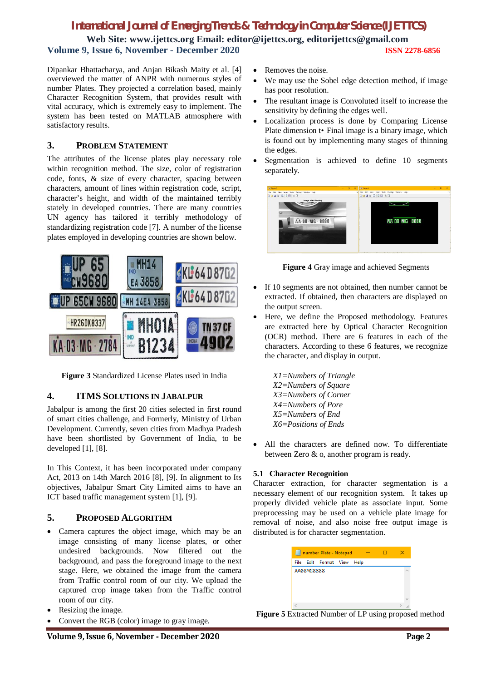# *International Journal of Emerging Trends & Technology in Computer Science (IJETTCS)* **Web Site: www.ijettcs.org Email: editor@ijettcs.org, editorijettcs@gmail.com**

**Volume 9, Issue 6, November - December 2020 ISSN 2278-6856**

Dipankar Bhattacharya, and Anjan Bikash Maity et al. [4] overviewed the matter of ANPR with numerous styles of number Plates. They projected a correlation based, mainly Character Recognition System, that provides result with vital accuracy, which is extremely easy to implement. The system has been tested on MATLAB atmosphere with satisfactory results.

### **3. PROBLEM STATEMENT**

The attributes of the license plates play necessary role within recognition method. The size, color of registration code, fonts, & size of every character, spacing between characters, amount of lines within registration code, script, character's height, and width of the maintained terribly stately in developed countries. There are many countries UN agency has tailored it terribly methodology of standardizing registration code [7]. A number of the license plates employed in developing countries are shown below.



**Figure 3** Standardized License Plates used in India

# **4. ITMS SOLUTIONS IN JABALPUR**

Jabalpur is among the first 20 cities selected in first round of smart cities challenge, and Formerly, Ministry of Urban Development. Currently, seven cities from Madhya Pradesh have been shortlisted by Government of India, to be developed [1], [8].

In This Context, it has been incorporated under company Act, 2013 on 14th March 2016 [8], [9]. In alignment to Its objectives, Jabalpur Smart City Limited aims to have an ICT based traffic management system [1], [9].

# **5. PROPOSED ALGORITHM**

- Camera captures the object image, which may be an image consisting of many license plates, or other undesired backgrounds. Now filtered out the background, and pass the foreground image to the next stage. Here, we obtained the image from the camera from Traffic control room of our city. We upload the captured crop image taken from the Traffic control room of our city.
- Resizing the image.
- Convert the RGB (color) image to gray image.
- Removes the noise.
- We may use the Sobel edge detection method, if image has poor resolution.
- The resultant image is Convoluted itself to increase the sensitivity by defining the edges well.
- Localization process is done by Comparing License Plate dimension t• Final image is a binary image, which is found out by implementing many stages of thinning the edges.
- Segmentation is achieved to define 10 segments separately.



**Figure 4** Gray image and achieved Segments

- If 10 segments are not obtained, then number cannot be extracted. If obtained, then characters are displayed on the output screen.
- Here, we define the Proposed methodology. Features are extracted here by Optical Character Recognition (OCR) method. There are 6 features in each of the characters. According to these 6 features, we recognize the character, and display in output.

*X1=Numbers of Triangle X2=Numbers of Square X3=Numbers of Corner X4=Numbers of Pore X5=Numbers of End X6=Positions of Ends*

 All the characters are defined now. To differentiate between Zero & o, another program is ready.

#### **5.1 Character Recognition**

Character extraction, for character segmentation is a necessary element of our recognition system. It takes up properly divided vehicle plate as associate input. Some preprocessing may be used on a vehicle plate image for removal of noise, and also noise free output image is distributed is for character segmentation.

|            | File Edit Format View | Help |  |  |
|------------|-----------------------|------|--|--|
| AA08MG8888 |                       |      |  |  |
|            |                       |      |  |  |
|            |                       |      |  |  |
|            |                       |      |  |  |
|            |                       |      |  |  |
|            |                       |      |  |  |
|            |                       |      |  |  |

**Figure 5** Extracted Number of LP using proposed method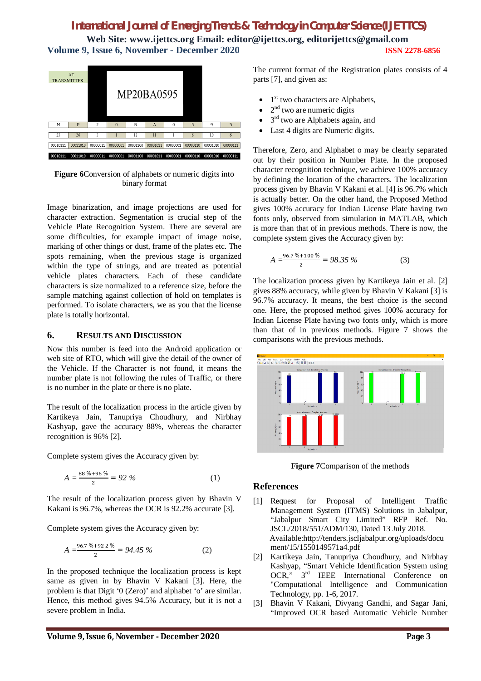# *International Journal of Emerging Trends & Technology in Computer Science (IJETTCS)* **Web Site: www.ijettcs.org Email: editor@ijettcs.org, editorijettcs@gmail.com Volume 9, Issue 6, November - December 2020 ISSN 2278-6856**



**Figure 6**Conversion of alphabets or numeric digits into binary format

Image binarization, and image projections are used for character extraction. Segmentation is crucial step of the Vehicle Plate Recognition System. There are several are some difficulties, for example impact of image noise, marking of other things or dust, frame of the plates etc. The spots remaining, when the previous stage is organized within the type of strings, and are treated as potential vehicle plates characters. Each of these candidate characters is size normalized to a reference size, before the sample matching against collection of hold on templates is performed. To isolate characters, we as you that the license plate is totally horizontal.

#### **6. RESULTS AND DISCUSSION**

Now this number is feed into the Android application or web site of RTO, which will give the detail of the owner of the Vehicle. If the Character is not found, it means the number plate is not following the rules of Traffic, or there is no number in the plate or there is no plate.

The result of the localization process in the article given by Kartikeya Jain, Tanupriya Choudhury, and Nirbhay Kashyap, gave the accuracy 88%, whereas the character recognition is 96% [2].

Complete system gives the Accuracy given by:

$$
A = \frac{88\% + 96\%}{2} = 92\%
$$
 (1)

The result of the localization process given by Bhavin V Kakani is 96.7%, whereas the OCR is 92.2% accurate [3].

Complete system gives the Accuracy given by:

$$
A = \frac{96.7\% + 92.2\%}{2} = 94.45\% \tag{2}
$$

In the proposed technique the localization process is kept same as given in by Bhavin V Kakani [3]. Here, the problem is that Digit '0 (Zero)' and alphabet 'o' are similar. Hence, this method gives 94.5% Accuracy, but it is not a severe problem in India.

The current format of the Registration plates consists of 4 parts [7], and given as:

- $\bullet$  1<sup>st</sup> two characters are Alphabets,
- $\bullet$  2<sup>nd</sup> two are numeric digits
- $\bullet$  3<sup>rd</sup> two are Alphabets again, and
- Last 4 digits are Numeric digits.

Therefore, Zero, and Alphabet o may be clearly separated out by their position in Number Plate. In the proposed character recognition technique, we achieve 100% accuracy by defining the location of the characters. The localization process given by Bhavin V Kakani et al. [4] is 96.7% which is actually better. On the other hand, the Proposed Method gives 100% accuracy for Indian License Plate having two fonts only, observed from simulation in MATLAB, which is more than that of in previous methods. There is now, the complete system gives the Accuracy given by:

$$
A = \frac{96.7\% + 100\%}{2} = 98.35\% \tag{3}
$$

The localization process given by Kartikeya Jain et al. [2] gives 88% accuracy, while given by Bhavin V Kakani [3] is 96.7% accuracy. It means, the best choice is the second one. Here, the proposed method gives 100% accuracy for Indian License Plate having two fonts only, which is more than that of in previous methods. Figure 7 shows the comparisons with the previous methods.



**Figure 7**Comparison of the methods

#### **References**

- [1] Request for Proposal of Intelligent Traffic Management System (ITMS) Solutions in Jabalpur, "Jabalpur Smart City Limited" RFP Ref. No. JSCL/2018/551/ADM/130, Dated 13 July 2018. Available:http://tenders.jscljabalpur.org/uploads/docu ment/15/1550149571a4.pdf
- [2] Kartikeya Jain, Tanupriya Choudhury, and Nirbhay Kashyap, "Smart Vehicle Identification System using OCR," 3rd IEEE International Conference on "Computational Intelligence and Communication Technology, pp. 1-6, 2017.
- [3] Bhavin V Kakani, Divyang Gandhi, and Sagar Jani, "Improved OCR based Automatic Vehicle Number